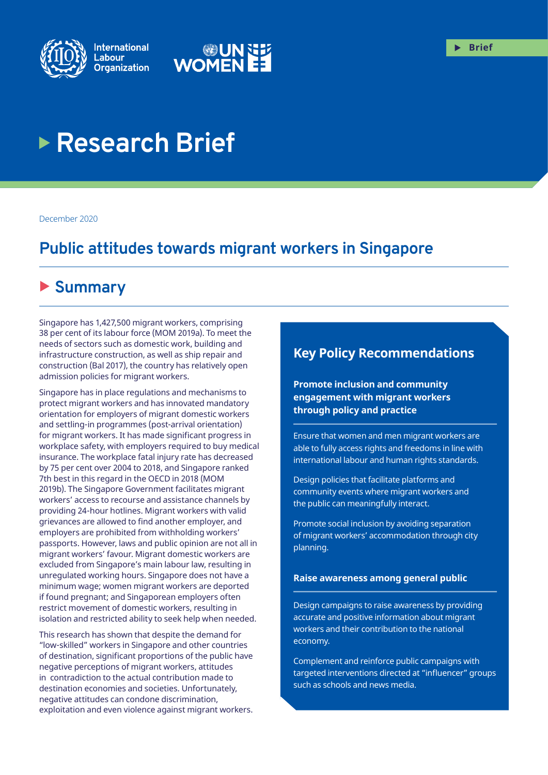



# **Research Brief**

December 2020

## **Public attitudes towards migrant workers in Singapore**

## X **Summary**

Singapore has 1,427,500 migrant workers, comprising 38 per cent of its labour force (MOM 2019a). To meet the needs of sectors such as domestic work, building and infrastructure construction, as well as ship repair and construction (Bal 2017), the country has relatively open admission policies for migrant workers.

Singapore has in place regulations and mechanisms to protect migrant workers and has innovated mandatory orientation for employers of migrant domestic workers and settling-in programmes (post-arrival orientation) for migrant workers. It has made significant progress in workplace safety, with employers required to buy medical insurance. The workplace fatal injury rate has decreased by 75 per cent over 2004 to 2018, and Singapore ranked 7th best in this regard in the OECD in 2018 (MOM 2019b). The Singapore Government facilitates migrant workers' access to recourse and assistance channels by providing 24-hour hotlines. Migrant workers with valid grievances are allowed to find another employer, and employers are prohibited from withholding workers' passports. However, laws and public opinion are not all in migrant workers' favour. Migrant domestic workers are excluded from Singapore's main labour law, resulting in unregulated working hours. Singapore does not have a minimum wage; women migrant workers are deported if found pregnant; and Singaporean employers often restrict movement of domestic workers, resulting in isolation and restricted ability to seek help when needed.

This research has shown that despite the demand for "low-skilled" workers in Singapore and other countries of destination, significant proportions of the public have negative perceptions of migrant workers, attitudes in contradiction to the actual contribution made to destination economies and societies. Unfortunately, negative attitudes can condone discrimination, exploitation and even violence against migrant workers.

## **Key Policy Recommendations**

**Promote inclusion and community engagement with migrant workers through policy and practice**

Ensure that women and men migrant workers are able to fully access rights and freedoms in line with international labour and human rights standards.

Design policies that facilitate platforms and community events where migrant workers and the public can meaningfully interact.

Promote social inclusion by avoiding separation of migrant workers' accommodation through city planning.

#### **Raise awareness among general public**

Design campaigns to raise awareness by providing accurate and positive information about migrant workers and their contribution to the national economy.

Complement and reinforce public campaigns with targeted interventions directed at "influencer" groups such as schools and news media.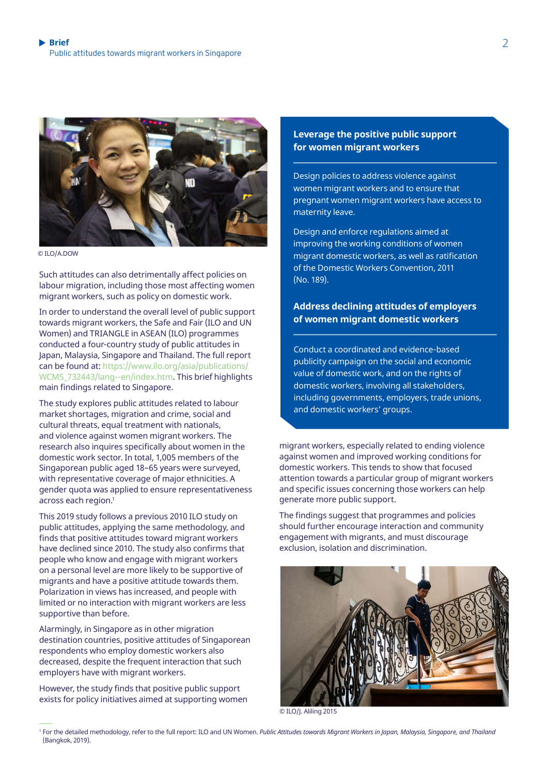

© ILO/A.DOW

Such attitudes can also detrimentally affect policies on labour migration, including those most affecting women migrant workers, such as policy on domestic work.

In order to understand the overall level of public support towards migrant workers, the Safe and Fair (ILO and UN Women) and TRIANGLE in ASEAN (ILO) programmes conducted a four-country study of public attitudes in Japan, Malaysia, Singapore and Thailand. The full report can be found at: [https://www.ilo.org/asia/publications/](https://www.ilo.org/asia/publications/WCMS_732443/lang--en/index.htm) WCMS 732443/lang--en/index.htm. This brief highlights main findings related to Singapore.

The study explores public attitudes related to labour market shortages, migration and crime, social and cultural threats, equal treatment with nationals, and violence against women migrant workers. The research also inquires specifically about women in the domestic work sector. In total, 1,005 members of the Singaporean public aged 18–65 years were surveyed, with representative coverage of major ethnicities. A gender quota was applied to ensure representativeness across each region.<sup>1</sup>

This 2019 study follows a previous 2010 ILO study on public attitudes, applying the same methodology, and finds that positive attitudes toward migrant workers have declined since 2010. The study also confirms that people who know and engage with migrant workers on a personal level are more likely to be supportive of migrants and have a positive attitude towards them. Polarization in views has increased, and people with limited or no interaction with migrant workers are less supportive than before.

Alarmingly, in Singapore as in other migration destination countries, positive attitudes of Singaporean respondents who employ domestic workers also decreased, despite the frequent interaction that such employers have with migrant workers.

However, the study finds that positive public support exists for policy initiatives aimed at supporting women

#### **Leverage the positive public support for women migrant workers**

Design policies to address violence against women migrant workers and to ensure that pregnant women migrant workers have access to maternity leave.

Design and enforce regulations aimed at improving the working conditions of women migrant domestic workers, as well as ratification of the Domestic Workers Convention, 2011 (No. 189).

### **Address declining attitudes of employers of women migrant domestic workers**

Conduct a coordinated and evidence-based publicity campaign on the social and economic value of domestic work, and on the rights of domestic workers, involving all stakeholders, including governments, employers, trade unions, and domestic workers' groups.

migrant workers, especially related to ending violence against women and improved working conditions for domestic workers. This tends to show that focused attention towards a particular group of migrant workers and specific issues concerning those workers can help generate more public support.

The findings suggest that programmes and policies should further encourage interaction and community engagement with migrants, and must discourage exclusion, isolation and discrimination.



© ILO/J. Aliling 2015

<sup>1</sup> For the detailed methodology, refer to the full report: ILO and UN Women. *Public Attitudes towards Migrant Workers in Japan, Malaysia, Singapore, and Thailand* (Bangkok, 2019).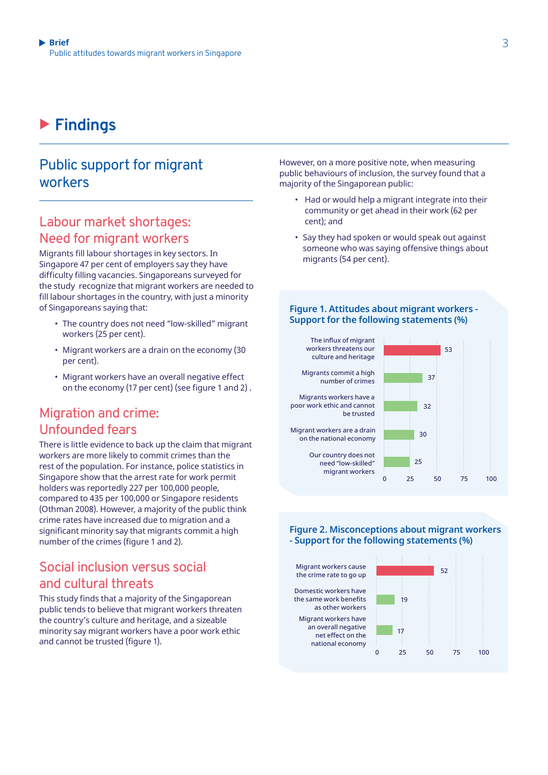## X **Findings**

## Public support for migrant workers

### Labour market shortages: Need for migrant workers

Migrants fill labour shortages in key sectors. In Singapore 47 per cent of employers say they have difficulty filling vacancies. Singaporeans surveyed for the study recognize that migrant workers are needed to fill labour shortages in the country, with just a minority of Singaporeans saying that:

- The country does not need "low-skilled" migrant workers (25 per cent).
- Migrant workers are a drain on the economy (30 per cent).
- Migrant workers have an overall negative effect on the economy (17 per cent) (see figure 1 and 2) .

## Migration and crime: Unfounded fears

There is little evidence to back up the claim that migrant workers are more likely to commit crimes than the rest of the population. For instance, police statistics in Singapore show that the arrest rate for work permit holders was reportedly 227 per 100,000 people, compared to 435 per 100,000 or Singapore residents (Othman 2008). However, a majority of the public think crime rates have increased due to migration and a significant minority say that migrants commit a high number of the crimes (figure 1 and 2).

## Social inclusion versus social and cultural threats

This study finds that a majority of the Singaporean public tends to believe that migrant workers threaten the country's culture and heritage, and a sizeable minority say migrant workers have a poor work ethic and cannot be trusted (figure 1).

However, on a more positive note, when measuring public behaviours of inclusion, the survey found that a majority of the Singaporean public:

- Had or would help a migrant integrate into their community or get ahead in their work (62 per cent); and
- Say they had spoken or would speak out against someone who was saying offensive things about migrants (54 per cent).

#### **Figure 1. Attitudes about migrant workers - Support for the following statements (%)**



#### **Figure 2. Misconceptions about migrant workers - Support for the following statements (%)**

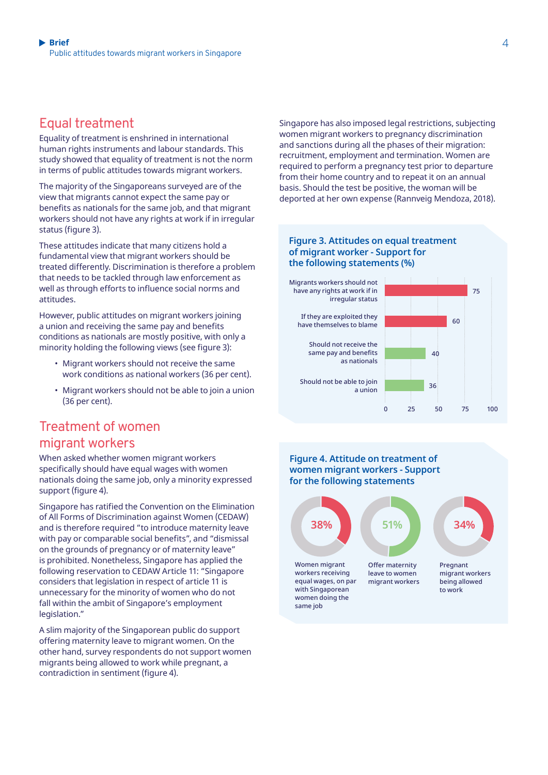## Equal treatment

Equality of treatment is enshrined in international human rights instruments and labour standards. This study showed that equality of treatment is not the norm in terms of public attitudes towards migrant workers.

The majority of the Singaporeans surveyed are of the view that migrants cannot expect the same pay or benefits as nationals for the same job, and that migrant workers should not have any rights at work if in irregular status (figure 3).

These attitudes indicate that many citizens hold a fundamental view that migrant workers should be treated differently. Discrimination is therefore a problem that needs to be tackled through law enforcement as well as through efforts to influence social norms and attitudes.

However, public attitudes on migrant workers joining a union and receiving the same pay and benefits conditions as nationals are mostly positive, with only a minority holding the following views (see figure 3):

- Migrant workers should not receive the same work conditions as national workers (36 per cent).
- Migrant workers should not be able to join a union (36 per cent).

## Treatment of women migrant workers

When asked whether women migrant workers specifically should have equal wages with women nationals doing the same job, only a minority expressed support (figure 4).

Singapore has ratified the Convention on the Elimination of All Forms of Discrimination against Women (CEDAW) and is therefore required "to introduce maternity leave with pay or comparable social benefits", and "dismissal on the grounds of pregnancy or of maternity leave" is prohibited. Nonetheless, Singapore has applied the following reservation to CEDAW Article 11: "Singapore considers that legislation in respect of article 11 is unnecessary for the minority of women who do not fall within the ambit of Singapore's employment legislation."

A slim majority of the Singaporean public do support offering maternity leave to migrant women. On the other hand, survey respondents do not support women migrants being allowed to work while pregnant, a contradiction in sentiment (figure 4).

Singapore has also imposed legal restrictions, subjecting women migrant workers to pregnancy discrimination and sanctions during all the phases of their migration: recruitment, employment and termination. Women are required to perform a pregnancy test prior to departure from their home country and to repeat it on an annual basis. Should the test be positive, the woman will be deported at her own expense (Rannveig Mendoza, 2018).

#### **Figure 3. Attitudes on equal treatment of migrant worker - Support for the following statements (%)**



#### **Figure 4. Attitude on treatment of women migrant workers - Support for the following statements**

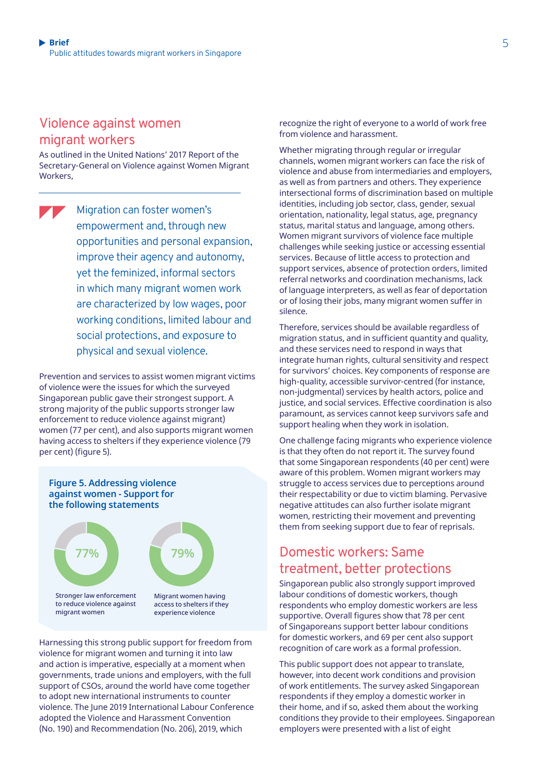### Violence against women migrant workers

As outlined in the United Nations' 2017 Report of the Secretary-General on Violence against Women Migrant Workers,

Migration can foster women's empowerment and, through new opportunities and personal expansion, improve their agency and autonomy, yet the feminized, informal sectors in which many migrant women work are characterized by low wages, poor working conditions, limited labour and social protections, and exposure to physical and sexual violence.

Prevention and services to assist women migrant victims of violence were the issues for which the surveyed Singaporean public gave their strongest support. A strong majority of the public supports stronger law enforcement to reduce violence against migrant) women (77 per cent), and also supports migrant women having access to shelters if they experience violence (79 per cent) (figure 5).



to reduce violence against migrant women

access to shelters if they experience violence

Harnessing this strong public support for freedom from violence for migrant women and turning it into law and action is imperative, especially at a moment when governments, trade unions and employers, with the full support of CSOs, around the world have come together to adopt new international instruments to counter violence. The June 2019 International Labour Conference adopted the Violence and Harassment Convention (No. 190) and Recommendation (No. 206), 2019, which

recognize the right of everyone to a world of work free from violence and harassment.

Whether migrating through regular or irregular channels, women migrant workers can face the risk of violence and abuse from intermediaries and employers, as well as from partners and others. They experience intersectional forms of discrimination based on multiple identities, including job sector, class, gender, sexual orientation, nationality, legal status, age, pregnancy status, marital status and language, among others. Women migrant survivors of violence face multiple challenges while seeking justice or accessing essential services. Because of little access to protection and support services, absence of protection orders, limited referral networks and coordination mechanisms, lack of language interpreters, as well as fear of deportation or of losing their jobs, many migrant women suffer in silence.

Therefore, services should be available regardless of migration status, and in sufficient quantity and quality, and these services need to respond in ways that integrate human rights, cultural sensitivity and respect for survivors' choices. Key components of response are high-quality, accessible survivor-centred (for instance, non-judgmental) services by health actors, police and justice, and social services. Effective coordination is also paramount, as services cannot keep survivors safe and support healing when they work in isolation.

One challenge facing migrants who experience violence is that they often do not report it. The survey found that some Singaporean respondents (40 per cent) were aware of this problem. Women migrant workers may struggle to access services due to perceptions around their respectability or due to victim blaming. Pervasive negative attitudes can also further isolate migrant women, restricting their movement and preventing them from seeking support due to fear of reprisals.

## Domestic workers: Same treatment, better protections

Singaporean public also strongly support improved labour conditions of domestic workers, though respondents who employ domestic workers are less supportive. Overall figures show that 78 per cent of Singaporeans support better labour conditions for domestic workers, and 69 per cent also support recognition of care work as a formal profession.

This public support does not appear to translate, however, into decent work conditions and provision of work entitlements. The survey asked Singaporean respondents if they employ a domestic worker in their home, and if so, asked them about the working conditions they provide to their employees. Singaporean employers were presented with a list of eight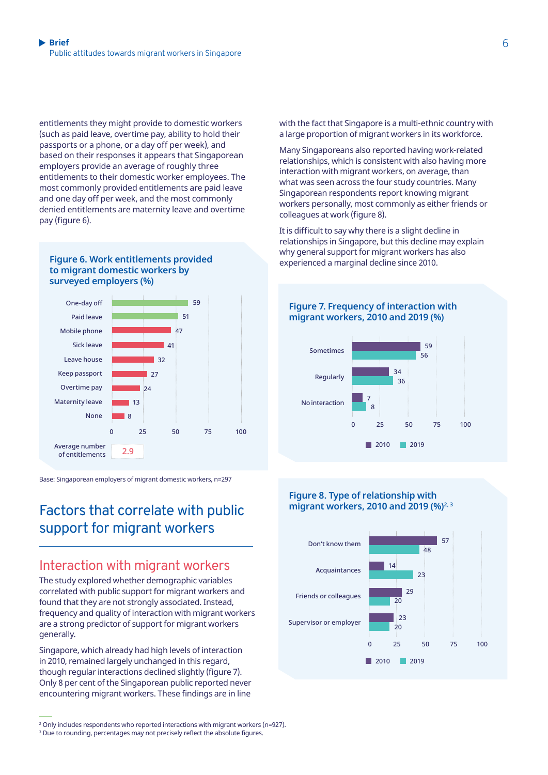entitlements they might provide to domestic workers (such as paid leave, overtime pay, ability to hold their passports or a phone, or a day off per week), and based on their responses it appears that Singaporean employers provide an average of roughly three entitlements to their domestic worker employees. The most commonly provided entitlements are paid leave and one day off per week, and the most commonly denied entitlements are maternity leave and overtime pay (figure 6).

#### experienced a marginal decline since 2010. **Figure 6. Work entitlements provided to migrant domestic workers by surveyed employers (%)**



Base: Singaporean employers of migrant domestic workers, n=297

## Factors that correlate with public support for migrant workers

### Interaction with migrant workers

The study explored whether demographic variables correlated with public support for migrant workers and found that they are not strongly associated. Instead, frequency and quality of interaction with migrant workers are a strong predictor of support for migrant workers generally.

Singapore, which already had high levels of interaction in 2010, remained largely unchanged in this regard, though regular interactions declined slightly (figure 7). Only 8 per cent of the Singaporean public reported never encountering migrant workers. These findings are in line

2 Only includes respondents who reported interactions with migrant workers (n=927).

with the fact that Singapore is a multi-ethnic country with a large proportion of migrant workers in its workforce.

Many Singaporeans also reported having work-related relationships, which is consistent with also having more interaction with migrant workers, on average, than what was seen across the four study countries. Many Singaporean respondents report knowing migrant workers personally, most commonly as either friends or colleagues at work (figure 8).

It is difficult to say why there is a slight decline in relationships in Singapore, but this decline may explain why general support for migrant workers has also

**Figure 7. Frequency of interaction with** 



 $12010$ 

 $2019$ 

#### **Figure 8. Type of relationship with migrant workers, 2010 and 2019 (%)**<sup>2, 3</sup>



 $\,$  Due to rounding, percentages may not precisely reflect the absolute figures.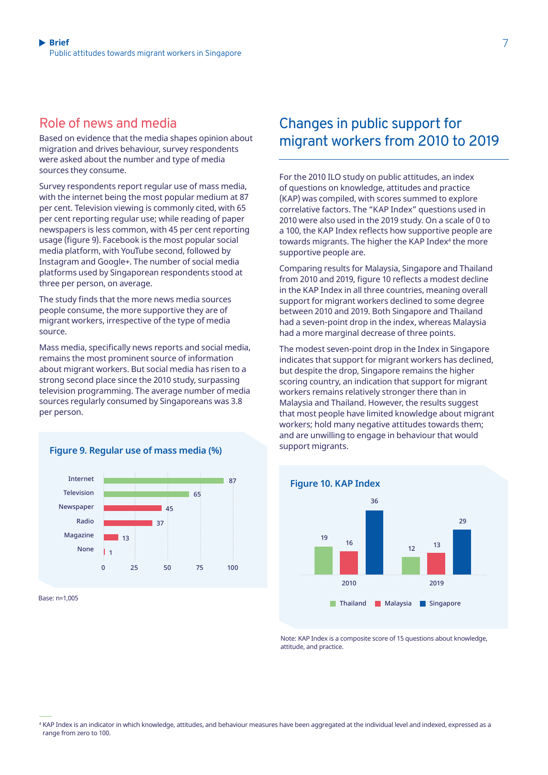### Role of news and media

Based on evidence that the media shapes opinion about migration and drives behaviour, survey respondents were asked about the number and type of media sources they consume.

Survey respondents report regular use of mass media, with the internet being the most popular medium at 87 per cent. Television viewing is commonly cited, with 65 per cent reporting regular use; while reading of paper newspapers is less common, with 45 per cent reporting usage (figure 9). Facebook is the most popular social media platform, with YouTube second, followed by Instagram and Google+. The number of social media platforms used by Singaporean respondents stood at three per person, on average.

The study finds that the more news media sources people consume, the more supportive they are of migrant workers, irrespective of the type of media source.

Mass media, specifically news reports and social media, remains the most prominent source of information about migrant workers. But social media has risen to a strong second place since the 2010 study, surpassing television programming. The average number of media sources regularly consumed by Singaporeans was 3.8 per person.



Base: n=1,005

## Changes in public support for migrant workers from 2010 to 2019

For the 2010 ILO study on public attitudes, an index of questions on knowledge, attitudes and practice (KAP) was compiled, with scores summed to explore correlative factors. The "KAP Index" questions used in 2010 were also used in the 2019 study. On a scale of 0 to a 100, the KAP Index reflects how supportive people are towards migrants. The higher the KAP Index<sup>4</sup> the more supportive people are.

Comparing results for Malaysia, Singapore and Thailand from 2010 and 2019, figure 10 reflects a modest decline in the KAP Index in all three countries, meaning overall support for migrant workers declined to some degree between 2010 and 2019. Both Singapore and Thailand had a seven-point drop in the index, whereas Malaysia had a more marginal decrease of three points.

The modest seven-point drop in the Index in Singapore indicates that support for migrant workers has declined, but despite the drop, Singapore remains the higher scoring country, an indication that support for migrant workers remains relatively stronger there than in Malaysia and Thailand. However, the results suggest that most people have limited knowledge about migrant workers; hold many negative attitudes towards them; and are unwilling to engage in behaviour that would



Note: KAP Index is a composite score of 15 questions about knowledge, attitude, and practice.

<sup>4</sup> KAP Index is an indicator in which knowledge, attitudes, and behaviour measures have been aggregated at the individual level and indexed, expressed as a range from zero to 100.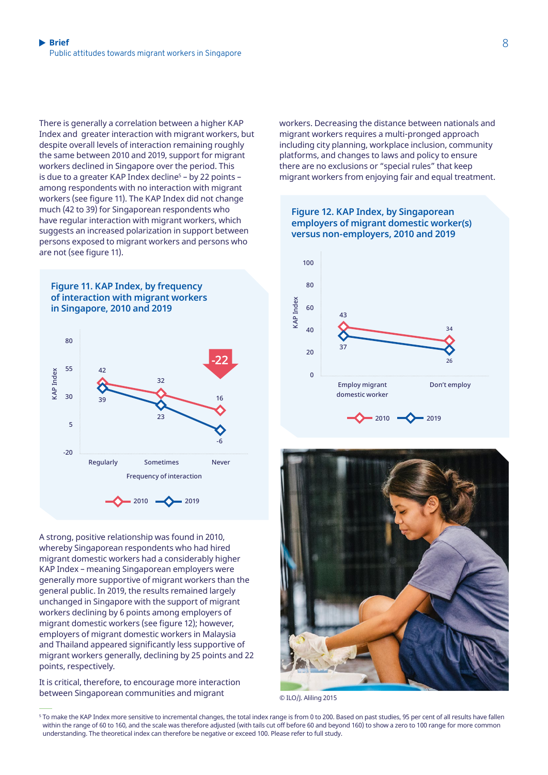There is generally a correlation between a higher KAP Index and greater interaction with migrant workers, but despite overall levels of interaction remaining roughly the same between 2010 and 2019, support for migrant workers declined in Singapore over the period. This is due to a greater KAP Index decline<sup>s</sup> – by 22 points – among respondents with no interaction with migrant workers (see figure 11). The KAP Index did not change much (42 to 39) for Singaporean respondents who have regular interaction with migrant workers, which suggests an increased polarization in support between persons exposed to migrant workers and persons who are not (see figure 11).





A strong, positive relationship was found in 2010, whereby Singaporean respondents who had hired migrant domestic workers had a considerably higher KAP Index – meaning Singaporean employers were generally more supportive of migrant workers than the general public. In 2019, the results remained largely unchanged in Singapore with the support of migrant workers declining by 6 points among employers of migrant domestic workers (see figure 12); however, employers of migrant domestic workers in Malaysia and Thailand appeared significantly less supportive of migrant workers generally, declining by 25 points and 22 points, respectively.

It is critical, therefore, to encourage more interaction between Singaporean communities and migrant

workers. Decreasing the distance between nationals and migrant workers requires a multi-pronged approach including city planning, workplace inclusion, community platforms, and changes to laws and policy to ensure there are no exclusions or "special rules" that keep migrant workers from enjoying fair and equal treatment.





© ILO/J. Aliling 2015

<sup>&</sup>lt;sup>5</sup> To make the KAP Index more sensitive to incremental changes, the total index range is from 0 to 200. Based on past studies, 95 per cent of all results have fallen within the range of 60 to 160, and the scale was therefore adjusted (with tails cut off before 60 and beyond 160) to show a zero to 100 range for more common understanding. The theoretical index can therefore be negative or exceed 100. Please refer to full study.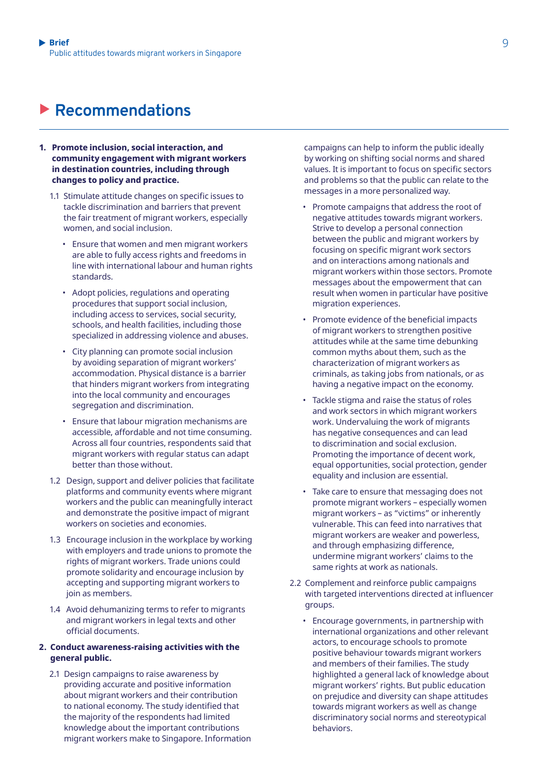## X **Recommendations**

- **1. Promote inclusion, social interaction, and community engagement with migrant workers in destination countries, including through changes to policy and practice.** 
	- 1.1 Stimulate attitude changes on specific issues to tackle discrimination and barriers that prevent the fair treatment of migrant workers, especially women, and social inclusion.
		- Ensure that women and men migrant workers are able to fully access rights and freedoms in line with international labour and human rights standards.
		- Adopt policies, regulations and operating procedures that support social inclusion, including access to services, social security, schools, and health facilities, including those specialized in addressing violence and abuses.
		- City planning can promote social inclusion by avoiding separation of migrant workers' accommodation. Physical distance is a barrier that hinders migrant workers from integrating into the local community and encourages segregation and discrimination.
		- Ensure that labour migration mechanisms are accessible, affordable and not time consuming. Across all four countries, respondents said that migrant workers with regular status can adapt better than those without.
	- 1.2 Design, support and deliver policies that facilitate platforms and community events where migrant workers and the public can meaningfully interact and demonstrate the positive impact of migrant workers on societies and economies.
	- 1.3 Encourage inclusion in the workplace by working with employers and trade unions to promote the rights of migrant workers. Trade unions could promote solidarity and encourage inclusion by accepting and supporting migrant workers to join as members.
	- 1.4 Avoid dehumanizing terms to refer to migrants and migrant workers in legal texts and other official documents.

#### **2. Conduct awareness-raising activities with the general public.**

2.1 Design campaigns to raise awareness by providing accurate and positive information about migrant workers and their contribution to national economy. The study identified that the majority of the respondents had limited knowledge about the important contributions migrant workers make to Singapore. Information campaigns can help to inform the public ideally by working on shifting social norms and shared values. It is important to focus on specific sectors and problems so that the public can relate to the messages in a more personalized way.

- Promote campaigns that address the root of negative attitudes towards migrant workers. Strive to develop a personal connection between the public and migrant workers by focusing on specific migrant work sectors and on interactions among nationals and migrant workers within those sectors. Promote messages about the empowerment that can result when women in particular have positive migration experiences.
- Promote evidence of the beneficial impacts of migrant workers to strengthen positive attitudes while at the same time debunking common myths about them, such as the characterization of migrant workers as criminals, as taking jobs from nationals, or as having a negative impact on the economy.
- Tackle stigma and raise the status of roles and work sectors in which migrant workers work. Undervaluing the work of migrants has negative consequences and can lead to discrimination and social exclusion. Promoting the importance of decent work, equal opportunities, social protection, gender equality and inclusion are essential.
- Take care to ensure that messaging does not promote migrant workers – especially women migrant workers – as "victims" or inherently vulnerable. This can feed into narratives that migrant workers are weaker and powerless, and through emphasizing difference, undermine migrant workers' claims to the same rights at work as nationals.
- 2.2 Complement and reinforce public campaigns with targeted interventions directed at influencer groups.
	- Encourage governments, in partnership with international organizations and other relevant actors, to encourage schools to promote positive behaviour towards migrant workers and members of their families. The study highlighted a general lack of knowledge about migrant workers' rights. But public education on prejudice and diversity can shape attitudes towards migrant workers as well as change discriminatory social norms and stereotypical behaviors.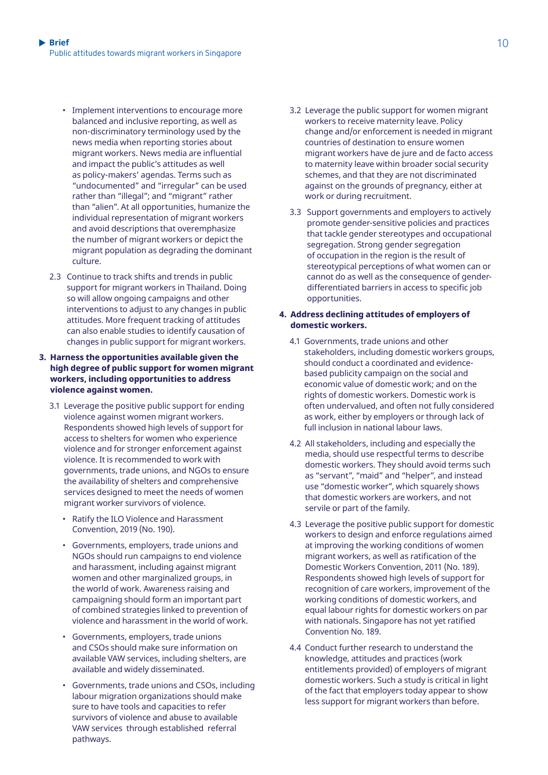- Implement interventions to encourage more balanced and inclusive reporting, as well as non-discriminatory terminology used by the news media when reporting stories about migrant workers. News media are influential and impact the public's attitudes as well as policy-makers' agendas. Terms such as "undocumented" and "irregular" can be used rather than "illegal"; and "migrant" rather than "alien". At all opportunities, humanize the individual representation of migrant workers and avoid descriptions that overemphasize the number of migrant workers or depict the migrant population as degrading the dominant culture.
- 2.3 Continue to track shifts and trends in public support for migrant workers in Thailand. Doing so will allow ongoing campaigns and other interventions to adjust to any changes in public attitudes. More frequent tracking of attitudes can also enable studies to identify causation of changes in public support for migrant workers.

#### **3. Harness the opportunities available given the high degree of public support for women migrant workers, including opportunities to address violence against women.**

- 3.1 Leverage the positive public support for ending violence against women migrant workers. Respondents showed high levels of support for access to shelters for women who experience violence and for stronger enforcement against violence. It is recommended to work with governments, trade unions, and NGOs to ensure the availability of shelters and comprehensive services designed to meet the needs of women migrant worker survivors of violence.
	- Ratify the ILO Violence and Harassment Convention, 2019 (No. 190).
	- Governments, employers, trade unions and NGOs should run campaigns to end violence and harassment, including against migrant women and other marginalized groups, in the world of work. Awareness raising and campaigning should form an important part of combined strategies linked to prevention of violence and harassment in the world of work.
	- Governments, employers, trade unions and CSOs should make sure information on available VAW services, including shelters, are available and widely disseminated.
	- Governments, trade unions and CSOs, including labour migration organizations should make sure to have tools and capacities to refer survivors of violence and abuse to available VAW services through established referral pathways.
- 3.2 Leverage the public support for women migrant workers to receive maternity leave. Policy change and/or enforcement is needed in migrant countries of destination to ensure women migrant workers have de jure and de facto access to maternity leave within broader social security schemes, and that they are not discriminated against on the grounds of pregnancy, either at work or during recruitment.
- 3.3 Support governments and employers to actively promote gender-sensitive policies and practices that tackle gender stereotypes and occupational segregation. Strong gender segregation of occupation in the region is the result of stereotypical perceptions of what women can or cannot do as well as the consequence of genderdifferentiated barriers in access to specific job opportunities.

#### **4. Address declining attitudes of employers of domestic workers.**

- 4.1 Governments, trade unions and other stakeholders, including domestic workers groups, should conduct a coordinated and evidencebased publicity campaign on the social and economic value of domestic work; and on the rights of domestic workers. Domestic work is often undervalued, and often not fully considered as work, either by employers or through lack of full inclusion in national labour laws.
- 4.2 All stakeholders, including and especially the media, should use respectful terms to describe domestic workers. They should avoid terms such as "servant", "maid" and "helper", and instead use "domestic worker", which squarely shows that domestic workers are workers, and not servile or part of the family.
- 4.3 Leverage the positive public support for domestic workers to design and enforce regulations aimed at improving the working conditions of women migrant workers, as well as ratification of the Domestic Workers Convention, 2011 (No. 189). Respondents showed high levels of support for recognition of care workers, improvement of the working conditions of domestic workers, and equal labour rights for domestic workers on par with nationals. Singapore has not yet ratified Convention No. 189.
- 4.4 Conduct further research to understand the knowledge, attitudes and practices (work entitlements provided) of employers of migrant domestic workers. Such a study is critical in light of the fact that employers today appear to show less support for migrant workers than before.